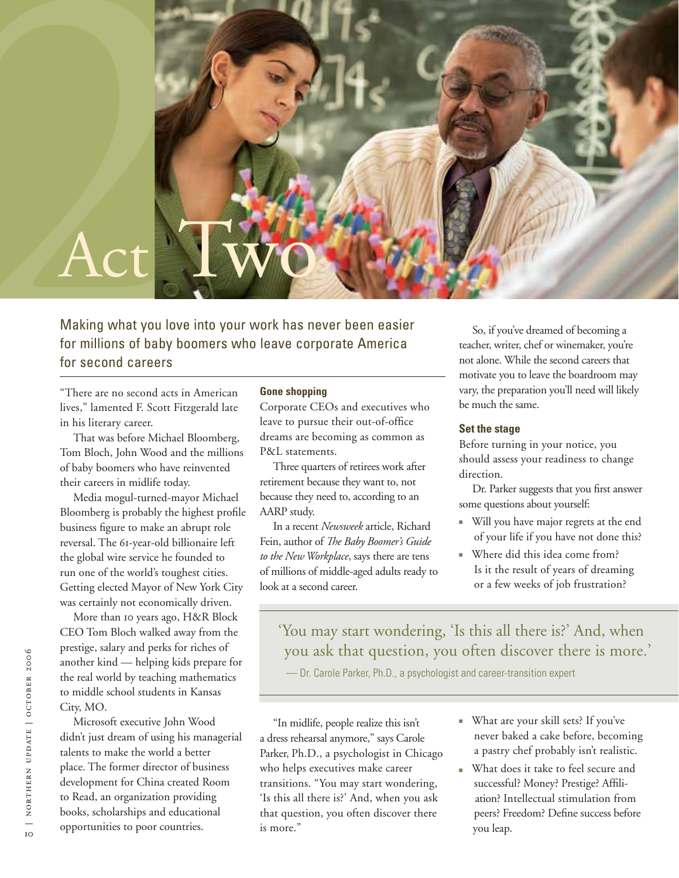

Making what you love into your work has never been easier for millions of baby boomers who leave corporate America for second careers

"There are no second acts in American lives," lamented F. Scott Fitzgerald late in his literary career.

That was before Michael Bloomberg, Tom Bloch, John Wood and the millions of baby boomers who have reinvented their careers in midlife today.

Media mogul-turned-mayor Michael Bloomberg is probably the highest profile business figure to make an abrupt role reversal. The 61-year-old billionaire left the global wire service he founded to run one of the world's toughest cities. Getting elected Mayor of New York City was certainly not economically driven.

More than 10 years ago, H&R Block CEO Tom Bloch walked away from the prestige, salary and perks for riches of another kind — helping kids prepare for the real world by teaching mathematics to middle school students in Kansas City, MO.

Microsoft executive John Wood didn't just dream of using his managerial talents to make the world a better place. The former director of business development for China created Room to Read, an organization providing books, scholarships and educational opportunities to poor countries.

## **Gone shopping**

Corporate CEOs and executives who leave to pursue their out-of-office dreams are becoming as common as P&L statements.

Three quarters of retirees work after retirement because they want to, not because they need to, according to an AARP study.

In a recent *Newsweek* article, Richard Fein, author of *The Baby Boomer's Guide to the New Workplace*, says there are tens of millions of middle-aged adults ready to look at a second career.

So, if you've dreamed of becoming a teacher, writer, chef or winemaker, you're not alone. While the second careers that motivate you to leave the boardroom may vary, the preparation you'll need will likely be much the same.

### **Set the stage**

Before turning in your notice, you should assess your readiness to change direction.

Dr. Parker suggests that you first answer some questions about yourself:

- Will you have major regrets at the end of your life if you have not done this?
- Where did this idea come from? Is it the result of years of dreaming or a few weeks of job frustration?

'You may start wondering, 'Is this all there is?' And, when you ask that question, you often discover there is more.'

— Dr. Carole Parker, Ph.D., a psychologist and career-transition expert

"In midlife, people realize this isn't a dress rehearsal anymore," says Carole Parker, Ph.D., a psychologist in Chicago who helps executives make career transitions. "You may start wondering, 'Is this all there is?' And, when you ask that question, you often discover there is more."

- What are your skill sets? If you've never baked a cake before, becoming a pastry chef probably isn't realistic.
- What does it take to feel secure and successful? Money? Prestige? Affili ation? Intellectual stimulation from peers? Freedom? Define success before you leap.